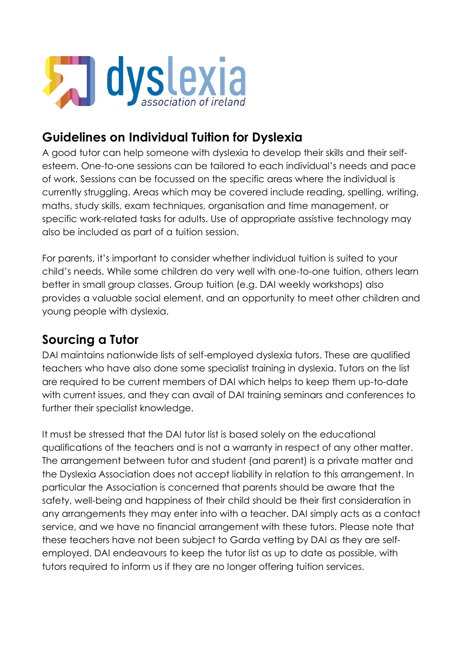

# **Guidelines on Individual Tuition for Dyslexia**

A good tutor can help someone with dyslexia to develop their skills and their selfesteem. One-to-one sessions can be tailored to each individual's needs and pace of work. Sessions can be focussed on the specific areas where the individual is currently struggling. Areas which may be covered include reading, spelling, writing, maths, study skills, exam techniques, organisation and time management, or specific work-related tasks for adults. Use of appropriate assistive technology may also be included as part of a tuition session.

For parents, it's important to consider whether individual tuition is suited to your child's needs. While some children do very well with one-to-one tuition, others learn better in small group classes. Group tuition (e.g. DAI weekly workshops) also provides a valuable social element, and an opportunity to meet other children and young people with dyslexia.

## **Sourcing a Tutor**

DAI maintains nationwide lists of self-employed dyslexia tutors. These are qualified teachers who have also done some specialist training in dyslexia. Tutors on the list are required to be current members of DAI which helps to keep them up-to-date with current issues, and they can avail of DAI training seminars and conferences to further their specialist knowledge.

It must be stressed that the DAI tutor list is based solely on the educational qualifications of the teachers and is not a warranty in respect of any other matter. The arrangement between tutor and student (and parent) is a private matter and the Dyslexia Association does not accept liability in relation to this arrangement. In particular the Association is concerned that parents should be aware that the safety, well-being and happiness of their child should be their first consideration in any arrangements they may enter into with a teacher. DAI simply acts as a contact service, and we have no financial arrangement with these tutors. Please note that these teachers have not been subject to Garda vetting by DAI as they are selfemployed. DAI endeavours to keep the tutor list as up to date as possible, with tutors required to inform us if they are no longer offering tuition services.